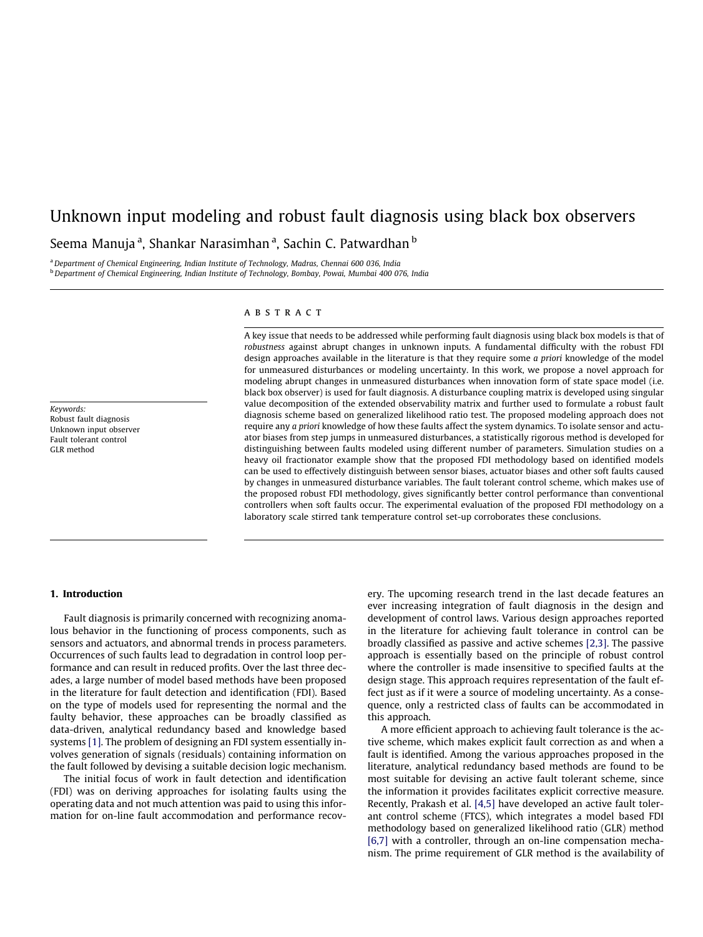# Unknown input modeling and robust fault diagnosis using black box observers Seema Manuja <sup>a</sup>, Shankar Narasimhan <sup>a</sup>, Sachin C. Patwardhan <sup>b</sup>

<sup>a</sup> Department of Chemical Engineering, Indian Institute of Technology, Madras, Chennai 600 036, India b Department of Chemical Engineering, Indian Institute of Technology, Bombay, Powai, Mumbai 400 076, India

#### Keywords: Robust fault diagnosis Unknown input observer Fault tolerant control GLR method

## ABSTRACT

A key issue that needs to be addressed while performing fault diagnosis using black box models is that of robustness against abrupt changes in unknown inputs. A fundamental difficulty with the robust FDI design approaches available in the literature is that they require some a priori knowledge of the model for unmeasured disturbances or modeling uncertainty. In this work, we propose a novel approach for modeling abrupt changes in unmeasured disturbances when innovation form of state space model (i.e. black box observer) is used for fault diagnosis. A disturbance coupling matrix is developed using singular value decomposition of the extended observability matrix and further used to formulate a robust fault diagnosis scheme based on generalized likelihood ratio test. The proposed modeling approach does not require any a priori knowledge of how these faults affect the system dynamics. To isolate sensor and actuator biases from step jumps in unmeasured disturbances, a statistically rigorous method is developed for distinguishing between faults modeled using different number of parameters. Simulation studies on a heavy oil fractionator example show that the proposed FDI methodology based on identified models can be used to effectively distinguish between sensor biases, actuator biases and other soft faults caused by changes in unmeasured disturbance variables. The fault tolerant control scheme, which makes use of the proposed robust FDI methodology, gives significantly better control performance than conventional controllers when soft faults occur. The experimental evaluation of the proposed FDI methodology on a laboratory scale stirred tank temperature control set-up corroborates these conclusions.

## 1. Introduction

Fault diagnosis is primarily concerned with recognizing anomalous behavior in the functioning of process components, such as sensors and actuators, and abnormal trends in process parameters. Occurrences of such faults lead to degradation in control loop performance and can result in reduced profits. Over the last three decades, a large number of model based methods have been proposed in the literature for fault detection and identification (FDI). Based on the type of models used for representing the normal and the faulty behavior, these approaches can be broadly classified as data-driven, analytical redundancy based and knowledge based systems [\[1\].](#page-12-0) The problem of designing an FDI system essentially involves generation of signals (residuals) containing information on the fault followed by devising a suitable decision logic mechanism.

The initial focus of work in fault detection and identification (FDI) was on deriving approaches for isolating faults using the operating data and not much attention was paid to using this information for on-line fault accommodation and performance recovery. The upcoming research trend in the last decade features an ever increasing integration of fault diagnosis in the design and development of control laws. Various design approaches reported in the literature for achieving fault tolerance in control can be broadly classified as passive and active schemes [\[2,3\]](#page-12-0). The passive approach is essentially based on the principle of robust control where the controller is made insensitive to specified faults at the design stage. This approach requires representation of the fault effect just as if it were a source of modeling uncertainty. As a consequence, only a restricted class of faults can be accommodated in this approach.

A more efficient approach to achieving fault tolerance is the active scheme, which makes explicit fault correction as and when a fault is identified. Among the various approaches proposed in the literature, analytical redundancy based methods are found to be most suitable for devising an active fault tolerant scheme, since the information it provides facilitates explicit corrective measure. Recently, Prakash et al. [\[4,5\]](#page-12-0) have developed an active fault tolerant control scheme (FTCS), which integrates a model based FDI methodology based on generalized likelihood ratio (GLR) method [\[6,7\]](#page-12-0) with a controller, through an on-line compensation mechanism. The prime requirement of GLR method is the availability of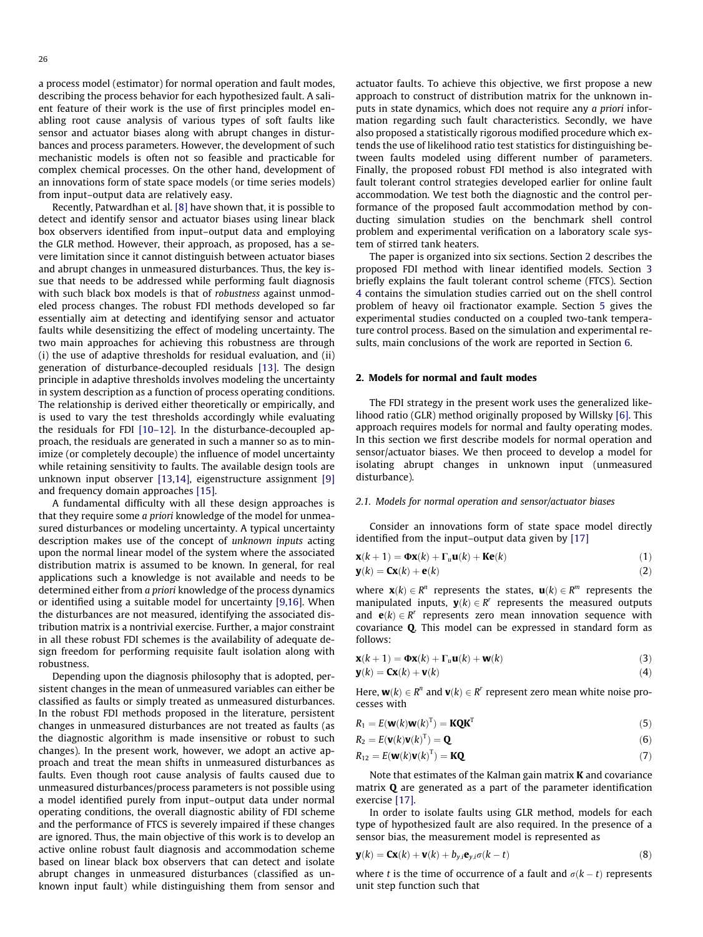<span id="page-1-0"></span>a process model (estimator) for normal operation and fault modes, describing the process behavior for each hypothesized fault. A salient feature of their work is the use of first principles model enabling root cause analysis of various types of soft faults like sensor and actuator biases along with abrupt changes in disturbances and process parameters. However, the development of such mechanistic models is often not so feasible and practicable for complex chemical processes. On the other hand, development of an innovations form of state space models (or time series models) from input–output data are relatively easy.

Recently, Patwardhan et al. [\[8\]](#page-12-0) have shown that, it is possible to detect and identify sensor and actuator biases using linear black box observers identified from input–output data and employing the GLR method. However, their approach, as proposed, has a severe limitation since it cannot distinguish between actuator biases and abrupt changes in unmeasured disturbances. Thus, the key issue that needs to be addressed while performing fault diagnosis with such black box models is that of robustness against unmodeled process changes. The robust FDI methods developed so far essentially aim at detecting and identifying sensor and actuator faults while desensitizing the effect of modeling uncertainty. The two main approaches for achieving this robustness are through (i) the use of adaptive thresholds for residual evaluation, and (ii) generation of disturbance-decoupled residuals [\[13\]](#page-12-0). The design principle in adaptive thresholds involves modeling the uncertainty in system description as a function of process operating conditions. The relationship is derived either theoretically or empirically, and is used to vary the test thresholds accordingly while evaluating the residuals for FDI [\[10–12\]](#page-12-0). In the disturbance-decoupled approach, the residuals are generated in such a manner so as to minimize (or completely decouple) the influence of model uncertainty while retaining sensitivity to faults. The available design tools are unknown input observer [\[13,14\],](#page-12-0) eigenstructure assignment [\[9\]](#page-12-0) and frequency domain approaches [\[15\].](#page-12-0)

A fundamental difficulty with all these design approaches is that they require some a priori knowledge of the model for unmeasured disturbances or modeling uncertainty. A typical uncertainty description makes use of the concept of unknown inputs acting upon the normal linear model of the system where the associated distribution matrix is assumed to be known. In general, for real applications such a knowledge is not available and needs to be determined either from a priori knowledge of the process dynamics or identified using a suitable model for uncertainty [\[9,16\]](#page-12-0). When the disturbances are not measured, identifying the associated distribution matrix is a nontrivial exercise. Further, a major constraint in all these robust FDI schemes is the availability of adequate design freedom for performing requisite fault isolation along with robustness.

Depending upon the diagnosis philosophy that is adopted, persistent changes in the mean of unmeasured variables can either be classified as faults or simply treated as unmeasured disturbances. In the robust FDI methods proposed in the literature, persistent changes in unmeasured disturbances are not treated as faults (as the diagnostic algorithm is made insensitive or robust to such changes). In the present work, however, we adopt an active approach and treat the mean shifts in unmeasured disturbances as faults. Even though root cause analysis of faults caused due to unmeasured disturbances/process parameters is not possible using a model identified purely from input–output data under normal operating conditions, the overall diagnostic ability of FDI scheme and the performance of FTCS is severely impaired if these changes are ignored. Thus, the main objective of this work is to develop an active online robust fault diagnosis and accommodation scheme based on linear black box observers that can detect and isolate abrupt changes in unmeasured disturbances (classified as unknown input fault) while distinguishing them from sensor and actuator faults. To achieve this objective, we first propose a new approach to construct of distribution matrix for the unknown inputs in state dynamics, which does not require any a priori information regarding such fault characteristics. Secondly, we have also proposed a statistically rigorous modified procedure which extends the use of likelihood ratio test statistics for distinguishing between faults modeled using different number of parameters. Finally, the proposed robust FDI method is also integrated with fault tolerant control strategies developed earlier for online fault accommodation. We test both the diagnostic and the control performance of the proposed fault accommodation method by conducting simulation studies on the benchmark shell control problem and experimental verification on a laboratory scale system of stirred tank heaters.

The paper is organized into six sections. Section 2 describes the proposed FDI method with linear identified models. Section 3 briefly explains the fault tolerant control scheme (FTCS). Section 4 contains the simulation studies carried out on the shell control problem of heavy oil fractionator example. Section 5 gives the experimental studies conducted on a coupled two-tank temperature control process. Based on the simulation and experimental results, main conclusions of the work are reported in Section 6.

# 2. Models for normal and fault modes

The FDI strategy in the present work uses the generalized likelihood ratio (GLR) method originally proposed by Willsky [\[6\].](#page-12-0) This approach requires models for normal and faulty operating modes. In this section we first describe models for normal operation and sensor/actuator biases. We then proceed to develop a model for isolating abrupt changes in unknown input (unmeasured disturbance).

#### 2.1. Models for normal operation and sensor/actuator biases

Consider an innovations form of state space model directly identified from the input–output data given by [\[17\]](#page-12-0)

$$
\mathbf{x}(k+1) = \mathbf{\Phi}\mathbf{x}(k) + \mathbf{\Gamma}_u \mathbf{u}(k) + \mathbf{K}\mathbf{e}(k)
$$
\n(1)

$$
\mathbf{y}(k) = \mathbf{C}\mathbf{x}(k) + \mathbf{e}(k) \tag{2}
$$

where  $\mathbf{x}(k) \in \mathbb{R}^n$  represents the states,  $\mathbf{u}(k) \in \mathbb{R}^m$  represents the manipulated inputs,  $\mathbf{v}(k) \in \mathbb{R}^r$  represents the measured outputs and  $\mathbf{e}(k) \in \mathbb{R}^r$  represents zero mean innovation sequence with covariance Q. This model can be expressed in standard form as follows:

$$
\mathbf{x}(k+1) = \mathbf{\Phi}\mathbf{x}(k) + \mathbf{\Gamma}_u \mathbf{u}(k) + \mathbf{w}(k)
$$
\n(3)

$$
\mathbf{y}(k) = \mathbf{C}\mathbf{x}(k) + \mathbf{v}(k) \tag{4}
$$

Here,  $\mathbf{w}(k) \in \mathbb{R}^n$  and  $\mathbf{v}(k) \in \mathbb{R}^r$  represent zero mean white noise processes with

$$
R_1 = E(\mathbf{w}(k)\mathbf{w}(k)^{\mathrm{T}}) = \mathbf{KQK}^{\mathrm{T}}
$$
\n(5)

$$
R_2 = E(\mathbf{v}(k)\mathbf{v}(k)^{\mathrm{T}}) = \mathbf{Q}
$$
\n(6)

$$
R_{12} = E(\mathbf{w}(k)\mathbf{v}(k)^{\mathrm{T}}) = \mathbf{KQ} \tag{7}
$$

Note that estimates of the Kalman gain matrix K and covariance matrix Q are generated as a part of the parameter identification exercise [\[17\]](#page-12-0).

In order to isolate faults using GLR method, models for each type of hypothesized fault are also required. In the presence of a sensor bias, the measurement model is represented as

$$
\mathbf{y}(k) = \mathbf{C}\mathbf{x}(k) + \mathbf{v}(k) + b_{y,i}\mathbf{e}_{y,i}\sigma(k-t)
$$
\n(8)

where t is the time of occurrence of a fault and  $\sigma(k - t)$  represents unit step function such that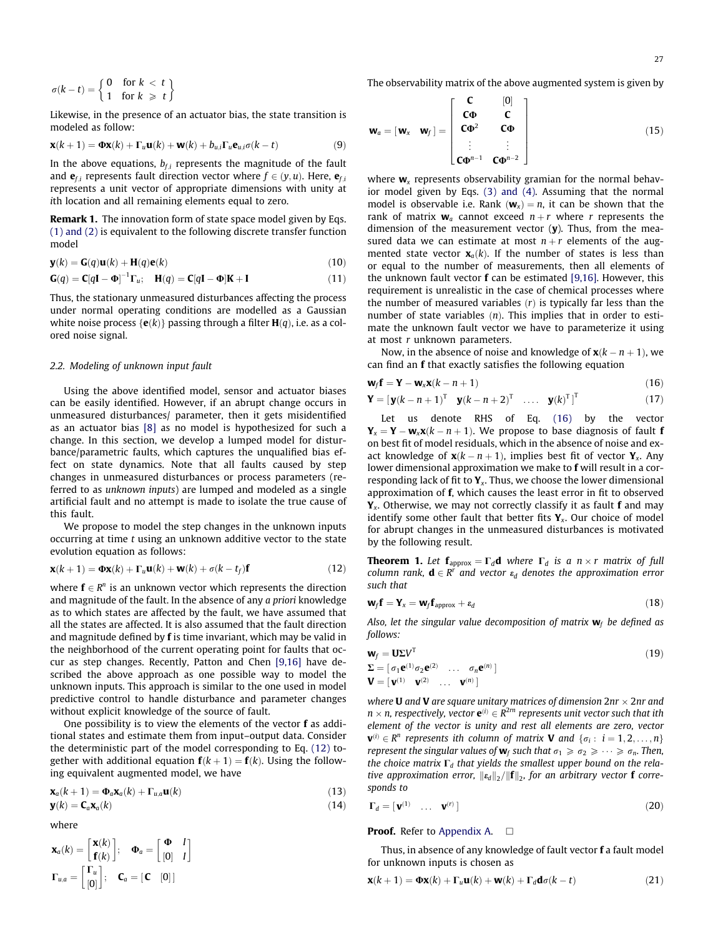<span id="page-2-0"></span>
$$
\sigma(k-t) = \begin{cases} 0 & \text{for } k < t \\ 1 & \text{for } k \geq t \end{cases}
$$

Likewise, in the presence of an actuator bias, the state transition is modeled as follow:

$$
\mathbf{x}(k+1) = \mathbf{\Phi}\mathbf{x}(k) + \mathbf{\Gamma}_u \mathbf{u}(k) + \mathbf{w}(k) + b_{u,i} \mathbf{\Gamma}_u \mathbf{e}_{u,i} \sigma(k-t)
$$
(9)

In the above equations,  $b_{f,i}$  represents the magnitude of the fault and  $e_{fi}$  represents fault direction vector where  $f \in (y, u)$ . Here,  $e_{fi}$ represents a unit vector of appropriate dimensions with unity at ith location and all remaining elements equal to zero.

Remark 1. The innovation form of state space model given by Eqs. [\(1\) and \(2\)](#page-1-0) is equivalent to the following discrete transfer function model

$$
\mathbf{y}(k) = \mathbf{G}(q)\mathbf{u}(k) + \mathbf{H}(q)\mathbf{e}(k)
$$
\n(10)

$$
\mathbf{G}(q) = \mathbf{C}[q\mathbf{I} - \mathbf{\Phi}]^{-1} \mathbf{\Gamma}_u; \quad \mathbf{H}(q) = \mathbf{C}[q\mathbf{I} - \mathbf{\Phi}]\mathbf{K} + \mathbf{I}
$$
\n(11)

Thus, the stationary unmeasured disturbances affecting the process under normal operating conditions are modelled as a Gaussian white noise process { $e(k)$ } passing through a filter  $H(q)$ , i.e. as a colored noise signal.

#### 2.2. Modeling of unknown input fault

Using the above identified model, sensor and actuator biases can be easily identified. However, if an abrupt change occurs in unmeasured disturbances/ parameter, then it gets misidentified as an actuator bias [\[8\]](#page-12-0) as no model is hypothesized for such a change. In this section, we develop a lumped model for disturbance/parametric faults, which captures the unqualified bias effect on state dynamics. Note that all faults caused by step changes in unmeasured disturbances or process parameters (referred to as unknown inputs) are lumped and modeled as a single artificial fault and no attempt is made to isolate the true cause of this fault.

We propose to model the step changes in the unknown inputs occurring at time t using an unknown additive vector to the state evolution equation as follows:

$$
\mathbf{x}(k+1) = \mathbf{\Phi}\mathbf{x}(k) + \mathbf{\Gamma}_u \mathbf{u}(k) + \mathbf{w}(k) + \sigma(k - t_f)\mathbf{f}
$$
 (12)

where  $f \in R^n$  is an unknown vector which represents the direction and magnitude of the fault. In the absence of any a priori knowledge as to which states are affected by the fault, we have assumed that all the states are affected. It is also assumed that the fault direction and magnitude defined by f is time invariant, which may be valid in the neighborhood of the current operating point for faults that occur as step changes. Recently, Patton and Chen [\[9,16\]](#page-12-0) have described the above approach as one possible way to model the unknown inputs. This approach is similar to the one used in model predictive control to handle disturbance and parameter changes without explicit knowledge of the source of fault.

One possibility is to view the elements of the vector f as additional states and estimate them from input–output data. Consider the deterministic part of the model corresponding to Eq. (12) together with additional equation  $f(k + 1) = f(k)$ . Using the following equivalent augmented model, we have

$$
\mathbf{x}_a(k+1) = \mathbf{\Phi}_a \mathbf{x}_a(k) + \Gamma_{u,a} \mathbf{u}(k)
$$
\n(13)

$$
\mathbf{y}(k) = \mathbf{C}_a \mathbf{x}_a(k) \tag{14}
$$

where

$$
\mathbf{x}_{a}(k) = \begin{bmatrix} \mathbf{x}(k) \\ \mathbf{f}(k) \end{bmatrix}; \quad \mathbf{\Phi}_{a} = \begin{bmatrix} \mathbf{\Phi} & I \\ [0] & I \end{bmatrix}
$$

$$
\mathbf{\Gamma}_{u,a} = \begin{bmatrix} \mathbf{\Gamma}_{u} \\ [0] \end{bmatrix}; \quad \mathbf{C}_{a} = [\mathbf{C} \quad [0]]
$$

The observability matrix of the above augmented system is given by

$$
\mathbf{w}_a = [\mathbf{w}_x \quad \mathbf{w}_f] = \begin{bmatrix} \mathbf{C} & [0] \\ \mathbf{C}\Phi & \mathbf{C} \\ \mathbf{C}\Phi^2 & \mathbf{C}\Phi \\ \vdots & \vdots \\ \mathbf{C}\Phi^{n-1} & \mathbf{C}\Phi^{n-2} \end{bmatrix}
$$
(15)

where  $w_x$  represents observability gramian for the normal behavior model given by Eqs. [\(3\) and \(4\).](#page-1-0) Assuming that the normal model is observable i.e. Rank  $(\mathbf{w}_x) = n$ , it can be shown that the rank of matrix  $w_a$  cannot exceed  $n+r$  where r represents the dimension of the measurement vector  $(y)$ . Thus, from the measured data we can estimate at most  $n+r$  elements of the augmented state vector  $\mathbf{x}_q(k)$ . If the number of states is less than or equal to the number of measurements, then all elements of the unknown fault vector f can be estimated [\[9,16\].](#page-12-0) However, this requirement is unrealistic in the case of chemical processes where the number of measured variables  $(r)$  is typically far less than the number of state variables  $(n)$ . This implies that in order to estimate the unknown fault vector we have to parameterize it using at most r unknown parameters.

Now, in the absence of noise and knowledge of  $\mathbf{x}(k - n + 1)$ , we can find an f that exactly satisfies the following equation

$$
\mathbf{w}_f \mathbf{f} = \mathbf{Y} - \mathbf{w}_x \mathbf{x}(k - n + 1) \tag{16}
$$

$$
\mathbf{Y} = \begin{bmatrix} \mathbf{y}(k - n + 1)^{\mathrm{T}} & \mathbf{y}(k - n + 2)^{\mathrm{T}} & \dots & \mathbf{y}(k)^{\mathrm{T}} \end{bmatrix}^{\mathrm{T}}
$$
(17)

Let us denote RHS of Eq. (16) by the vector  $\mathbf{Y}_{\mathsf{x}} = \mathbf{Y} - \mathbf{w}_{\mathsf{x}} \mathbf{x}(k-n+1).$  We propose to base diagnosis of fault  $\mathbf{f}$ on best fit of model residuals, which in the absence of noise and exact knowledge of  $\mathbf{x}(k - n + 1)$ , implies best fit of vector  $\mathbf{Y}_x$ . Any lower dimensional approximation we make to f will result in a corresponding lack of fit to  $Y_x$ . Thus, we choose the lower dimensional approximation of f, which causes the least error in fit to observed  $Y_x$ . Otherwise, we may not correctly classify it as fault **f** and may identify some other fault that better fits  $Y_x$ . Our choice of model for abrupt changes in the unmeasured disturbances is motivated by the following result.

**Theorem 1.** Let  $f_{\text{approx}} = \Gamma_d \mathbf{d}$  where  $\Gamma_d$  is a  $n \times r$  matrix of full column rank,  $\mathbf{d} \in \mathbb{R}^r$  and vector  $\varepsilon_d$  denotes the approximation error such that

$$
\mathbf{W}_f \mathbf{f} = \mathbf{Y}_x = \mathbf{W}_f \mathbf{f}_{\text{approx}} + \varepsilon_d \tag{18}
$$

Also, let the singular value decomposition of matrix  $w_f$  be defined as follows:

$$
\mathbf{w}_f = \mathbf{U} \Sigma V^{\mathrm{T}} \n\Sigma = [\sigma_1 \mathbf{e}^{(1)} \sigma_2 \mathbf{e}^{(2)} \dots \sigma_n \mathbf{e}^{(n)}] \n\mathbf{V} = [\mathbf{v}^{(1)} \ \mathbf{v}^{(2)} \ \dots \ \mathbf{v}^{(n)}]
$$
\n(19)

where **U** and **V** are square unitary matrices of dimension  $2\text{nr} \times 2\text{nr}$  and  $n \times n$ , respectively, vector  $e^{(i)} \in R^{2rn}$  represents unit vector such that ith element of the vector is unity and rest all elements are zero, vector  $\mathbf{v}^{(i)} \in \mathbb{R}^n$  represents ith column of matrix **V** and  $\{\sigma_i : i = 1, 2, \ldots, n\}$ represent the singular values of  $w_f$  such that  $\sigma_1 \ge \sigma_2 \ge \cdots \ge \sigma_n$ . Then, the choice matrix  $\Gamma_d$  that yields the smallest upper bound on the relative approximation error,  $\|\mathbf{\varepsilon}_d\|_2/\|\mathbf{f}\|_2$ , for an arbitrary vector **f** corresponds to

$$
\Gamma_d = [\mathbf{v}^{(1)} \quad \dots \quad \mathbf{v}^{(r)}]
$$
 (20)

## **Proof.** Refer to [Appendix A.](#page-11-0)  $\Box$

Thus, in absence of any knowledge of fault vector f a fault model for unknown inputs is chosen as

$$
\mathbf{x}(k+1) = \mathbf{\Phi}\mathbf{x}(k) + \mathbf{\Gamma}_u \mathbf{u}(k) + \mathbf{w}(k) + \mathbf{\Gamma}_d \mathbf{d}\sigma(k-t)
$$
 (21)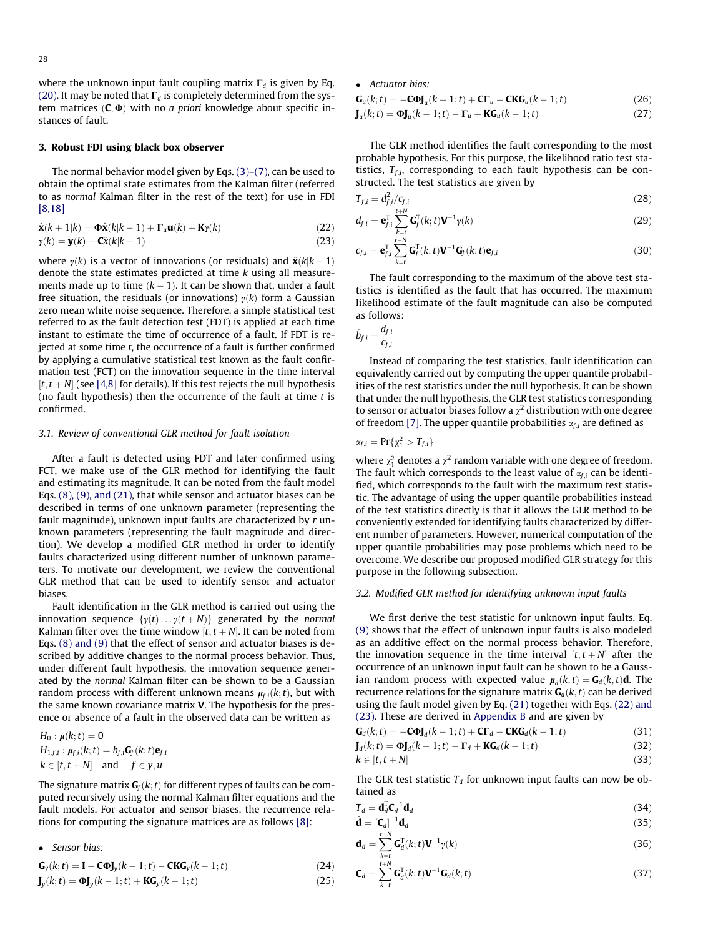where the unknown input fault coupling matrix  $\Gamma_d$  is given by Eq. [\(20\).](#page-2-0) It may be noted that  $\Gamma_d$  is completely determined from the system matrices  $(C, \Phi)$  with no a priori knowledge about specific instances of fault.

#### 3. Robust FDI using black box observer

The normal behavior model given by Eqs. [\(3\)–\(7\),](#page-1-0) can be used to obtain the optimal state estimates from the Kalman filter (referred to as normal Kalman filter in the rest of the text) for use in FDI [\[8,18\]](#page-12-0)

$$
\hat{\mathbf{x}}(k+1|k) = \mathbf{\Phi}\hat{\mathbf{x}}(k|k-1) + \mathbf{\Gamma}_u \mathbf{u}(k) + \mathbf{K}\gamma(k)
$$
\n(22)

$$
\gamma(k) = \mathbf{y}(k) - \mathbf{C}\hat{\mathbf{x}}(k|k-1) \tag{23}
$$

where  $\gamma(k)$  is a vector of innovations (or residuals) and  $\hat{\mathbf{x}}(k|k-1)$ denote the state estimates predicted at time k using all measurements made up to time  $(k-1)$ . It can be shown that, under a fault free situation, the residuals (or innovations)  $\gamma(k)$  form a Gaussian zero mean white noise sequence. Therefore, a simple statistical test referred to as the fault detection test (FDT) is applied at each time instant to estimate the time of occurrence of a fault. If FDT is rejected at some time  $t$ , the occurrence of a fault is further confirmed by applying a cumulative statistical test known as the fault confirmation test (FCT) on the innovation sequence in the time interval  $[t, t + N]$  (see [\[4,8\]](#page-12-0) for details). If this test rejects the null hypothesis (no fault hypothesis) then the occurrence of the fault at time  $t$  is confirmed.

#### 3.1. Review of conventional GLR method for fault isolation

After a fault is detected using FDT and later confirmed using FCT, we make use of the GLR method for identifying the fault and estimating its magnitude. It can be noted from the fault model Eqs. [\(8\), \(9\), and \(21\),](#page-1-0) that while sensor and actuator biases can be described in terms of one unknown parameter (representing the fault magnitude), unknown input faults are characterized by r unknown parameters (representing the fault magnitude and direction). We develop a modified GLR method in order to identify faults characterized using different number of unknown parameters. To motivate our development, we review the conventional GLR method that can be used to identify sensor and actuator biases.

Fault identification in the GLR method is carried out using the innovation sequence  $\{y(t) \dots y(t+N)\}\$  generated by the normal Kalman filter over the time window  $[t, t + N]$ . It can be noted from Eqs. [\(8\) and \(9\)](#page-1-0) that the effect of sensor and actuator biases is described by additive changes to the normal process behavior. Thus, under different fault hypothesis, the innovation sequence generated by the normal Kalman filter can be shown to be a Gaussian random process with different unknown means  $\pmb{\mu}_{\!f,i}(k;t)$ , but with the same known covariance matrix V. The hypothesis for the presence or absence of a fault in the observed data can be written as

$$
H_0: \mu(k; t) = 0
$$
  
\n
$$
H_{1f,i}: \mu_{f,i}(k; t) = b_{f,i}G_f(k; t)e_{f,i}
$$
  
\n
$$
k \in [t, t + N] \text{ and } f \in y, u
$$

The signature matrix  $\mathbf{G}_f(k; t)$  for different types of faults can be computed recursively using the normal Kalman filter equations and the fault models. For actuator and sensor biases, the recurrence relations for computing the signature matrices are as follows [\[8\]:](#page-12-0)

Sensor bias:

$$
\mathbf{G}_y(k;t) = \mathbf{I} - \mathbf{C}\Phi \mathbf{J}_y(k-1;t) - \mathbf{CKG}_y(k-1;t)
$$
\n(24)

$$
\mathbf{J}_y(k;t) = \mathbf{Q}\mathbf{J}_y(k-1;t) + \mathbf{KG}_y(k-1;t)
$$
\n(25)

• Actuator bias:

$$
\mathbf{G}_{u}(k;t) = -\mathbf{C}\Phi \mathbf{J}_{u}(k-1;t) + \mathbf{C}\Gamma_{u} - \mathbf{C}\mathbf{K}\mathbf{G}_{u}(k-1;t)
$$
\n(26)

 $J_u(k;t) = \Phi J_u(k-1;t) - \Gamma_u + KG_u(k-1;t)$  (27)

The GLR method identifies the fault corresponding to the most probable hypothesis. For this purpose, the likelihood ratio test statistics,  $T_{f,i}$ , corresponding to each fault hypothesis can be constructed. The test statistics are given by

$$
T_{f,i} = d_{f,i}^2 / c_{f,i}
$$
\n
$$
(28)
$$

$$
d_{f,i} = \mathbf{e}_{f,i}^{\mathrm{T}} \sum_{k=t}^{\mathrm{T+N}} \mathbf{G}_f^{\mathrm{T}}(k;t) \mathbf{V}^{-1} \gamma(k)
$$
\n(29)

$$
c_{f,i} = \mathbf{e}_{f,i}^{\mathrm{T}} \sum_{k=t}^{t+N} \mathbf{G}_{f}^{\mathrm{T}}(k;t) \mathbf{V}^{-1} \mathbf{G}_{f}(k;t) \mathbf{e}_{f,i}
$$
(30)

The fault corresponding to the maximum of the above test statistics is identified as the fault that has occurred. The maximum likelihood estimate of the fault magnitude can also be computed as follows:

$$
\hat{b}_{f,i} = \frac{d_{f,i}}{c_{f,i}}
$$

Instead of comparing the test statistics, fault identification can equivalently carried out by computing the upper quantile probabilities of the test statistics under the null hypothesis. It can be shown that under the null hypothesis, the GLR test statistics corresponding to sensor or actuator biases follow a  $\chi^2$  distribution with one degree of freedom [\[7\]](#page-12-0). The upper quantile probabilities  $\alpha_{f,i}$  are defined as

$$
\alpha_{f,i}=\Pr\{\chi^2_1>T_{f,i}\}
$$

where  $\chi_1^2$  denotes a  $\chi^2$  random variable with one degree of freedom. The fault which corresponds to the least value of  $\alpha_{f,i}$  can be identified, which corresponds to the fault with the maximum test statistic. The advantage of using the upper quantile probabilities instead of the test statistics directly is that it allows the GLR method to be conveniently extended for identifying faults characterized by different number of parameters. However, numerical computation of the upper quantile probabilities may pose problems which need to be overcome. We describe our proposed modified GLR strategy for this purpose in the following subsection.

# 3.2. Modified GLR method for identifying unknown input faults

We first derive the test statistic for unknown input faults. Eq. [\(9\)](#page-2-0) shows that the effect of unknown input faults is also modeled as an additive effect on the normal process behavior. Therefore, the innovation sequence in the time interval  $[t, t + N]$  after the occurrence of an unknown input fault can be shown to be a Gaussian random process with expected value  $\mu_d(k,t) = G_d(k,t) d$ . The recurrence relations for the signature matrix  $\mathbf{G}_d(k,t)$  can be derived using the fault model given by Eq. [\(21\)](#page-2-0) together with Eqs. (22) and (23). These are derived in Appendix B and are given by

$$
\mathbf{G}_d(k;t) = -\mathbf{C}\Phi \mathbf{J}_d(k-1;t) + \mathbf{C}\Gamma_d - \mathbf{C}\mathbf{K}\mathbf{G}_d(k-1;t)
$$
(31)  

$$
\mathbf{J}_d(k;t) = \Phi \mathbf{J}_d(k-1;t) - \Gamma_d + \mathbf{K}\mathbf{G}_d(k-1;t)
$$
(32)

$$
k \in [t, t + N] \tag{33}
$$

The GLR test statistic  $T<sub>d</sub>$  for unknown input faults can now be obtained as

$$
T_d = \mathbf{d}_d^{\mathrm{T}} \mathbf{C}_d^{-1} \mathbf{d}_d \tag{34}
$$

$$
\hat{\mathbf{d}} = [\mathbf{C}_d]^{-1} \mathbf{d}_d \tag{35}
$$

$$
\mathbf{d}_d = \sum_{k=1}^{t+N} \mathbf{G}_d^{\mathrm{T}}(k; t) \mathbf{V}^{-1} \gamma(k)
$$
(36)

$$
\mathbf{C}_d = \sum_{k=t}^{t+N} \mathbf{G}_d^{\mathrm{T}}(k; t) \mathbf{V}^{-1} \mathbf{G}_d(k; t)
$$
\n(37)